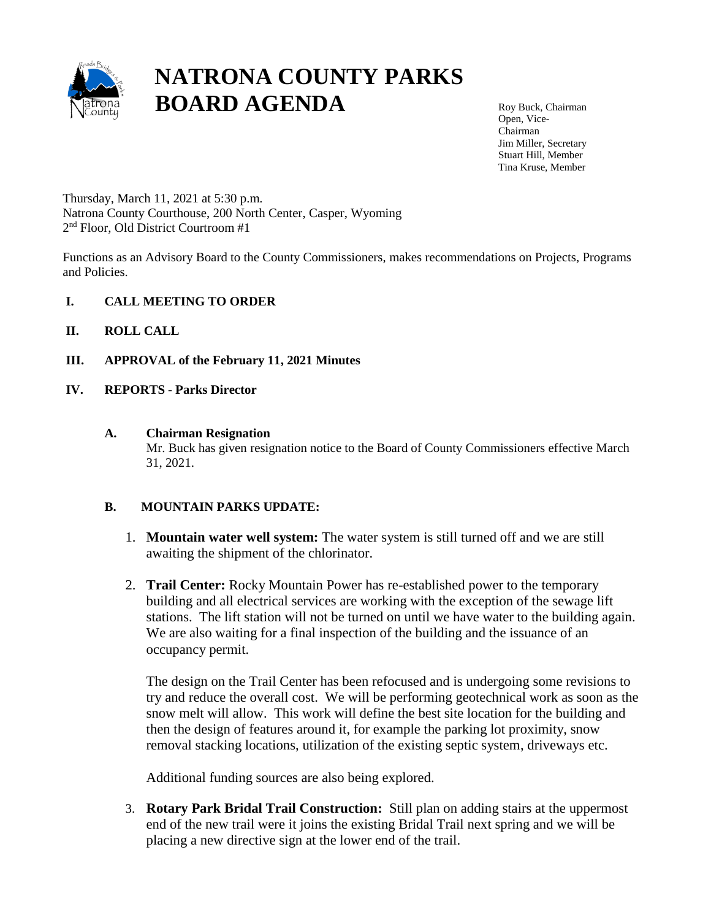

# **NATRONA COUNTY PARKS BOARD AGENDA**

Roy Buck, Chairman Open, Vice-Chairman Jim Miller, Secretary Stuart Hill, Member Tina Kruse, Member

Thursday, March 11, 2021 at 5:30 p.m. Natrona County Courthouse, 200 North Center, Casper, Wyoming 2 nd Floor, Old District Courtroom #1

Functions as an Advisory Board to the County Commissioners, makes recommendations on Projects, Programs and Policies.

- **I. CALL MEETING TO ORDER**
- **II. ROLL CALL**
- **III. APPROVAL of the February 11, 2021 Minutes**
- **IV. REPORTS - Parks Director**

#### **A. Chairman Resignation**

Mr. Buck has given resignation notice to the Board of County Commissioners effective March 31, 2021.

#### **B. MOUNTAIN PARKS UPDATE:**

- 1. **Mountain water well system:** The water system is still turned off and we are still awaiting the shipment of the chlorinator.
- 2. **Trail Center:** Rocky Mountain Power has re-established power to the temporary building and all electrical services are working with the exception of the sewage lift stations. The lift station will not be turned on until we have water to the building again. We are also waiting for a final inspection of the building and the issuance of an occupancy permit.

The design on the Trail Center has been refocused and is undergoing some revisions to try and reduce the overall cost. We will be performing geotechnical work as soon as the snow melt will allow. This work will define the best site location for the building and then the design of features around it, for example the parking lot proximity, snow removal stacking locations, utilization of the existing septic system, driveways etc.

Additional funding sources are also being explored.

3. **Rotary Park Bridal Trail Construction:** Still plan on adding stairs at the uppermost end of the new trail were it joins the existing Bridal Trail next spring and we will be placing a new directive sign at the lower end of the trail.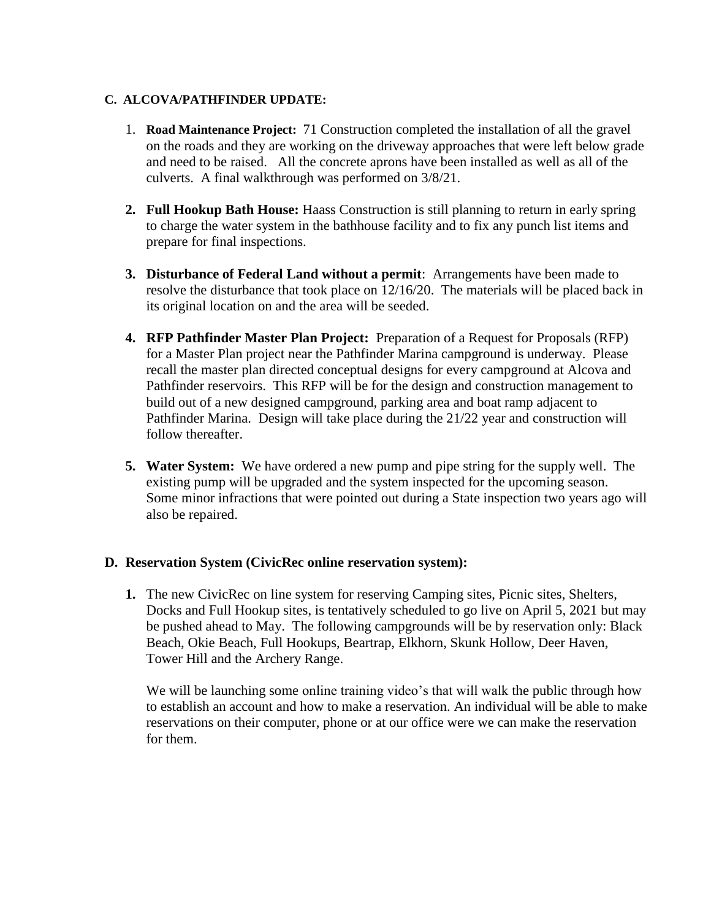# **C. ALCOVA/PATHFINDER UPDATE:**

- 1. **Road Maintenance Project:** 71 Construction completed the installation of all the gravel on the roads and they are working on the driveway approaches that were left below grade and need to be raised. All the concrete aprons have been installed as well as all of the culverts. A final walkthrough was performed on 3/8/21.
- **2. Full Hookup Bath House:** Haass Construction is still planning to return in early spring to charge the water system in the bathhouse facility and to fix any punch list items and prepare for final inspections.
- **3. Disturbance of Federal Land without a permit**: Arrangements have been made to resolve the disturbance that took place on 12/16/20. The materials will be placed back in its original location on and the area will be seeded.
- **4. RFP Pathfinder Master Plan Project:** Preparation of a Request for Proposals (RFP) for a Master Plan project near the Pathfinder Marina campground is underway. Please recall the master plan directed conceptual designs for every campground at Alcova and Pathfinder reservoirs. This RFP will be for the design and construction management to build out of a new designed campground, parking area and boat ramp adjacent to Pathfinder Marina. Design will take place during the 21/22 year and construction will follow thereafter.
- **5. Water System:** We have ordered a new pump and pipe string for the supply well. The existing pump will be upgraded and the system inspected for the upcoming season. Some minor infractions that were pointed out during a State inspection two years ago will also be repaired.

# **D. Reservation System (CivicRec online reservation system):**

**1.** The new CivicRec on line system for reserving Camping sites, Picnic sites, Shelters, Docks and Full Hookup sites, is tentatively scheduled to go live on April 5, 2021 but may be pushed ahead to May. The following campgrounds will be by reservation only: Black Beach, Okie Beach, Full Hookups, Beartrap, Elkhorn, Skunk Hollow, Deer Haven, Tower Hill and the Archery Range.

We will be launching some online training video's that will walk the public through how to establish an account and how to make a reservation. An individual will be able to make reservations on their computer, phone or at our office were we can make the reservation for them.